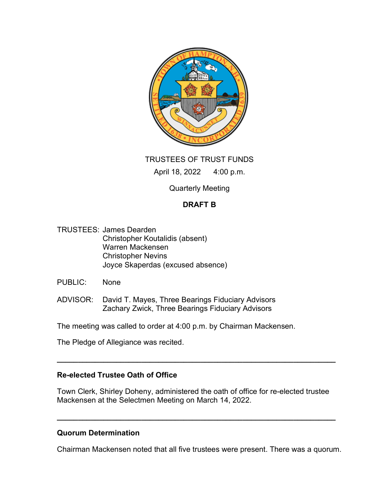

TRUSTEES OF TRUST FUNDS April 18, 2022 4:00 p.m.

Quarterly Meeting

# DRAFT B

TRUSTEES: James Dearden Christopher Koutalidis (absent) Warren Mackensen Christopher Nevins Joyce Skaperdas (excused absence)

PUBLIC: None

ADVISOR: David T. Mayes, Three Bearings Fiduciary Advisors Zachary Zwick, Three Bearings Fiduciary Advisors

The meeting was called to order at 4:00 p.m. by Chairman Mackensen.

The Pledge of Allegiance was recited.

# Re-elected Trustee Oath of Office

Town Clerk, Shirley Doheny, administered the oath of office for re-elected trustee Mackensen at the Selectmen Meeting on March 14, 2022.

 $\overline{\phantom{a}}$  , and the contribution of the contribution of the contribution of the contribution of the contribution of the contribution of the contribution of the contribution of the contribution of the contribution of the

 $\overline{\phantom{a}}$  ,  $\overline{\phantom{a}}$  ,  $\overline{\phantom{a}}$  ,  $\overline{\phantom{a}}$  ,  $\overline{\phantom{a}}$  ,  $\overline{\phantom{a}}$  ,  $\overline{\phantom{a}}$  ,  $\overline{\phantom{a}}$  ,  $\overline{\phantom{a}}$  ,  $\overline{\phantom{a}}$  ,  $\overline{\phantom{a}}$  ,  $\overline{\phantom{a}}$  ,  $\overline{\phantom{a}}$  ,  $\overline{\phantom{a}}$  ,  $\overline{\phantom{a}}$  ,  $\overline{\phantom{a}}$ 

# Quorum Determination

Chairman Mackensen noted that all five trustees were present. There was a quorum.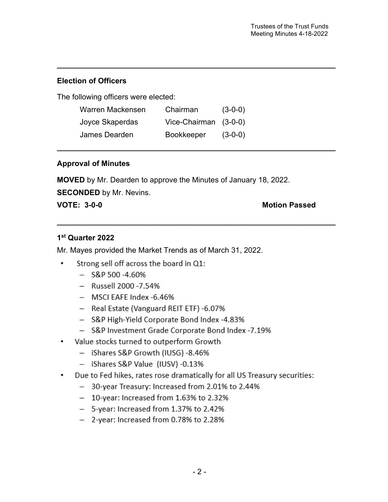## Election of Officers

The following officers were elected:

| Warren Mackensen | Chairman              | $(3-0-0)$ |
|------------------|-----------------------|-----------|
| Joyce Skaperdas  | Vice-Chairman (3-0-0) |           |
| James Dearden    | <b>Bookkeeper</b>     | $(3-0-0)$ |

 $\overline{\phantom{a}}$  , and the contribution of the contribution of the contribution of the contribution of the contribution of the contribution of the contribution of the contribution of the contribution of the contribution of the

 $\overline{\phantom{a}}$  , and the contribution of the contribution of the contribution of the contribution of the contribution of the contribution of the contribution of the contribution of the contribution of the contribution of the

 $\overline{\phantom{a}}$  , and the contribution of the contribution of the contribution of the contribution of the contribution of the contribution of the contribution of the contribution of the contribution of the contribution of the

## Approval of Minutes

MOVED by Mr. Dearden to approve the Minutes of January 18, 2022.

**SECONDED** by Mr. Nevins.

## VOTE: 3-0-0 Motion Passed

## 1 st Quarter 2022

Mr. Mayes provided the Market Trends as of March 31, 2022.

- Strong sell off across the board in Q1:
	- $-$  S&P 500-4.60%
	- Russell 2000 7.54%
	- MSCI EAFE Index -6.46%
	- Real Estate (Vanguard REIT ETF) -6.07%
	- S&P High-Yield Corporate Bond Index -4.83%
	- S&P Investment Grade Corporate Bond Index -7.19%
- Value stocks turned to outperform Growth ٠
	- iShares S&P Growth (IUSG) -8.46%
	- iShares S&P Value (IUSV) -0.13%
- Due to Fed hikes, rates rose dramatically for all US Treasury securities: ٠
	- 30-year Treasury: Increased from 2.01% to 2.44%
	- 10-year: Increased from 1.63% to 2.32%
	- 5-year: Increased from 1.37% to 2.42%
	- 2-year: Increased from 0.78% to 2.28%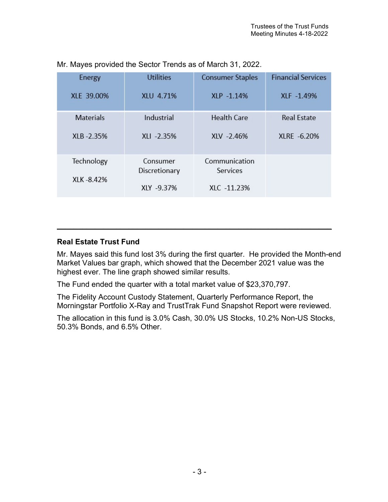| Energy           | <b>Utilities</b>          | <b>Consumer Staples</b>   | <b>Financial Services</b> |
|------------------|---------------------------|---------------------------|---------------------------|
| XLE 39.00%       | <b>XLU 4.71%</b>          | XLP -1.14%                | XLF -1.49%                |
| <b>Materials</b> | Industrial                | <b>Health Care</b>        | <b>Real Estate</b>        |
| XLB-2.35%        | XLI -2.35%                | $XLV -2.46%$              | XLRE -6.20%               |
| Technology       | Consumer<br>Discretionary | Communication<br>Services |                           |
| XLK-8.42%        | XLY -9.37%                | XLC -11.23%               |                           |

Mr. Mayes provided the Sector Trends as of March 31, 2022.

# Real Estate Trust Fund

Mr. Mayes said this fund lost 3% during the first quarter. He provided the Month-end Market Values bar graph, which showed that the December 2021 value was the highest ever. The line graph showed similar results.

 $\mathcal{L}_\text{max} = \mathcal{L}_\text{max} = \mathcal{L}_\text{max} = \mathcal{L}_\text{max} = \mathcal{L}_\text{max} = \mathcal{L}_\text{max} = \mathcal{L}_\text{max} = \mathcal{L}_\text{max} = \mathcal{L}_\text{max} = \mathcal{L}_\text{max} = \mathcal{L}_\text{max} = \mathcal{L}_\text{max} = \mathcal{L}_\text{max} = \mathcal{L}_\text{max} = \mathcal{L}_\text{max} = \mathcal{L}_\text{max} = \mathcal{L}_\text{max} = \mathcal{L}_\text{max} = \mathcal{$ 

The Fund ended the quarter with a total market value of \$23,370,797.

The Fidelity Account Custody Statement, Quarterly Performance Report, the Morningstar Portfolio X-Ray and TrustTrak Fund Snapshot Report were reviewed.

The allocation in this fund is 3.0% Cash, 30.0% US Stocks, 10.2% Non-US Stocks, 50.3% Bonds, and 6.5% Other.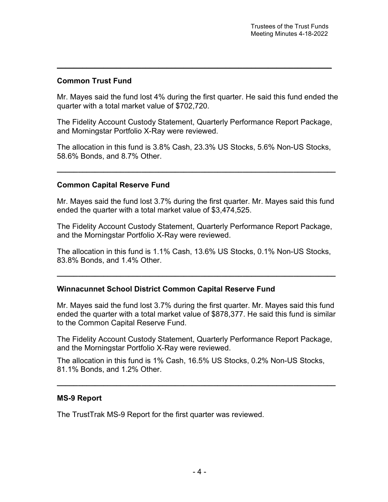## Common Trust Fund

Mr. Mayes said the fund lost 4% during the first quarter. He said this fund ended the quarter with a total market value of \$702,720.

 $\mathcal{L}_\mathcal{L} = \mathcal{L}_\mathcal{L} = \mathcal{L}_\mathcal{L} = \mathcal{L}_\mathcal{L} = \mathcal{L}_\mathcal{L} = \mathcal{L}_\mathcal{L} = \mathcal{L}_\mathcal{L} = \mathcal{L}_\mathcal{L} = \mathcal{L}_\mathcal{L} = \mathcal{L}_\mathcal{L} = \mathcal{L}_\mathcal{L} = \mathcal{L}_\mathcal{L} = \mathcal{L}_\mathcal{L} = \mathcal{L}_\mathcal{L} = \mathcal{L}_\mathcal{L} = \mathcal{L}_\mathcal{L} = \mathcal{L}_\mathcal{L}$ 

The Fidelity Account Custody Statement, Quarterly Performance Report Package, and Morningstar Portfolio X-Ray were reviewed.

The allocation in this fund is 3.8% Cash, 23.3% US Stocks, 5.6% Non-US Stocks, 58.6% Bonds, and 8.7% Other.

 $\overline{\phantom{a}}$  ,  $\overline{\phantom{a}}$  ,  $\overline{\phantom{a}}$  ,  $\overline{\phantom{a}}$  ,  $\overline{\phantom{a}}$  ,  $\overline{\phantom{a}}$  ,  $\overline{\phantom{a}}$  ,  $\overline{\phantom{a}}$  ,  $\overline{\phantom{a}}$  ,  $\overline{\phantom{a}}$  ,  $\overline{\phantom{a}}$  ,  $\overline{\phantom{a}}$  ,  $\overline{\phantom{a}}$  ,  $\overline{\phantom{a}}$  ,  $\overline{\phantom{a}}$  ,  $\overline{\phantom{a}}$ 

## Common Capital Reserve Fund

Mr. Mayes said the fund lost 3.7% during the first quarter. Mr. Mayes said this fund ended the quarter with a total market value of \$3,474,525.

The Fidelity Account Custody Statement, Quarterly Performance Report Package, and the Morningstar Portfolio X-Ray were reviewed.

The allocation in this fund is 1.1% Cash, 13.6% US Stocks, 0.1% Non-US Stocks, 83.8% Bonds, and 1.4% Other.

 $\overline{\phantom{a}}$  , and the contribution of the contribution of the contribution of the contribution of the contribution of the contribution of the contribution of the contribution of the contribution of the contribution of the

## Winnacunnet School District Common Capital Reserve Fund

Mr. Mayes said the fund lost 3.7% during the first quarter. Mr. Mayes said this fund ended the quarter with a total market value of \$878,377. He said this fund is similar to the Common Capital Reserve Fund.

The Fidelity Account Custody Statement, Quarterly Performance Report Package, and the Morningstar Portfolio X-Ray were reviewed.

The allocation in this fund is 1% Cash, 16.5% US Stocks, 0.2% Non-US Stocks, 81.1% Bonds, and 1.2% Other.

 $\overline{\phantom{a}}$  , and the contribution of the contribution of the contribution of the contribution of the contribution of the contribution of the contribution of the contribution of the contribution of the contribution of the

## MS-9 Report

The TrustTrak MS-9 Report for the first quarter was reviewed.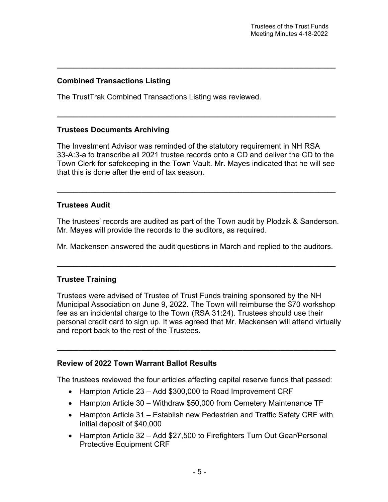## Combined Transactions Listing

The TrustTrak Combined Transactions Listing was reviewed.

## Trustees Documents Archiving

The Investment Advisor was reminded of the statutory requirement in NH RSA 33-A:3-a to transcribe all 2021 trustee records onto a CD and deliver the CD to the Town Clerk for safekeeping in the Town Vault. Mr. Mayes indicated that he will see that this is done after the end of tax season.

 $\overline{\phantom{a}}$  ,  $\overline{\phantom{a}}$  ,  $\overline{\phantom{a}}$  ,  $\overline{\phantom{a}}$  ,  $\overline{\phantom{a}}$  ,  $\overline{\phantom{a}}$  ,  $\overline{\phantom{a}}$  ,  $\overline{\phantom{a}}$  ,  $\overline{\phantom{a}}$  ,  $\overline{\phantom{a}}$  ,  $\overline{\phantom{a}}$  ,  $\overline{\phantom{a}}$  ,  $\overline{\phantom{a}}$  ,  $\overline{\phantom{a}}$  ,  $\overline{\phantom{a}}$  ,  $\overline{\phantom{a}}$ 

 $\overline{\phantom{a}}$  , and the contribution of the contribution of the contribution of the contribution of the contribution of the contribution of the contribution of the contribution of the contribution of the contribution of the

 $\overline{\phantom{a}}$  ,  $\overline{\phantom{a}}$  ,  $\overline{\phantom{a}}$  ,  $\overline{\phantom{a}}$  ,  $\overline{\phantom{a}}$  ,  $\overline{\phantom{a}}$  ,  $\overline{\phantom{a}}$  ,  $\overline{\phantom{a}}$  ,  $\overline{\phantom{a}}$  ,  $\overline{\phantom{a}}$  ,  $\overline{\phantom{a}}$  ,  $\overline{\phantom{a}}$  ,  $\overline{\phantom{a}}$  ,  $\overline{\phantom{a}}$  ,  $\overline{\phantom{a}}$  ,  $\overline{\phantom{a}}$ 

## Trustees Audit

The trustees' records are audited as part of the Town audit by Plodzik & Sanderson. Mr. Mayes will provide the records to the auditors, as required.

Mr. Mackensen answered the audit questions in March and replied to the auditors.

 $\overline{\phantom{a}}$  ,  $\overline{\phantom{a}}$  ,  $\overline{\phantom{a}}$  ,  $\overline{\phantom{a}}$  ,  $\overline{\phantom{a}}$  ,  $\overline{\phantom{a}}$  ,  $\overline{\phantom{a}}$  ,  $\overline{\phantom{a}}$  ,  $\overline{\phantom{a}}$  ,  $\overline{\phantom{a}}$  ,  $\overline{\phantom{a}}$  ,  $\overline{\phantom{a}}$  ,  $\overline{\phantom{a}}$  ,  $\overline{\phantom{a}}$  ,  $\overline{\phantom{a}}$  ,  $\overline{\phantom{a}}$ 

## Trustee Training

Trustees were advised of Trustee of Trust Funds training sponsored by the NH Municipal Association on June 9, 2022. The Town will reimburse the \$70 workshop fee as an incidental charge to the Town (RSA 31:24). Trustees should use their personal credit card to sign up. It was agreed that Mr. Mackensen will attend virtually and report back to the rest of the Trustees.

## Review of 2022 Town Warrant Ballot Results

The trustees reviewed the four articles affecting capital reserve funds that passed:

 $\overline{\phantom{a}}$  , and the contribution of the contribution of the contribution of the contribution of the contribution of the contribution of the contribution of the contribution of the contribution of the contribution of the

- Hampton Article 23 Add \$300,000 to Road Improvement CRF
- Hampton Article 30 Withdraw \$50,000 from Cemetery Maintenance TF
- Hampton Article 31 Establish new Pedestrian and Traffic Safety CRF with initial deposit of \$40,000
- Hampton Article 32 Add \$27,500 to Firefighters Turn Out Gear/Personal Protective Equipment CRF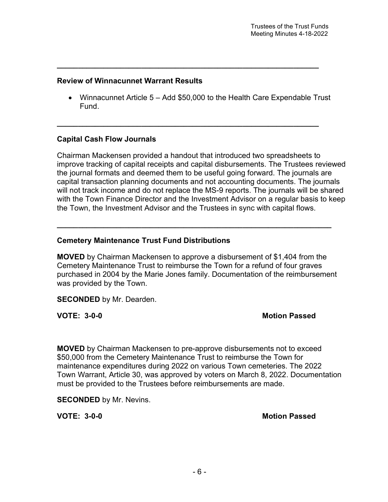#### Review of Winnacunnet Warrant Results

 Winnacunnet Article 5 – Add \$50,000 to the Health Care Expendable Trust Fund.

\_\_\_\_\_\_\_\_\_\_\_\_\_\_\_\_\_\_\_\_\_\_\_\_\_\_\_\_\_\_\_\_\_\_\_\_\_\_\_\_\_\_\_\_\_\_\_\_\_\_\_\_\_\_\_\_\_\_\_\_\_\_

\_\_\_\_\_\_\_\_\_\_\_\_\_\_\_\_\_\_\_\_\_\_\_\_\_\_\_\_\_\_\_\_\_\_\_\_\_\_\_\_\_\_\_\_\_\_\_\_\_\_\_\_\_\_\_\_\_\_\_\_\_\_

## Capital Cash Flow Journals

Chairman Mackensen provided a handout that introduced two spreadsheets to improve tracking of capital receipts and capital disbursements. The Trustees reviewed the journal formats and deemed them to be useful going forward. The journals are capital transaction planning documents and not accounting documents. The journals will not track income and do not replace the MS-9 reports. The journals will be shared with the Town Finance Director and the Investment Advisor on a regular basis to keep the Town, the Investment Advisor and the Trustees in sync with capital flows.

## Cemetery Maintenance Trust Fund Distributions

MOVED by Chairman Mackensen to approve a disbursement of \$1,404 from the Cemetery Maintenance Trust to reimburse the Town for a refund of four graves purchased in 2004 by the Marie Jones family. Documentation of the reimbursement was provided by the Town.

\_\_\_\_\_\_\_\_\_\_\_\_\_\_\_\_\_\_\_\_\_\_\_\_\_\_\_\_\_\_\_\_\_\_\_\_\_\_\_\_\_\_\_\_\_\_\_\_\_\_\_\_\_\_\_\_\_\_\_\_\_\_\_\_\_

**SECONDED** by Mr. Dearden.

VOTE: 3-0-0 Motion Passed

MOVED by Chairman Mackensen to pre-approve disbursements not to exceed \$50,000 from the Cemetery Maintenance Trust to reimburse the Town for maintenance expenditures during 2022 on various Town cemeteries. The 2022 Town Warrant, Article 30, was approved by voters on March 8, 2022. Documentation must be provided to the Trustees before reimbursements are made.

**SECONDED** by Mr. Nevins.

VOTE: 3-0-0 Motion Passed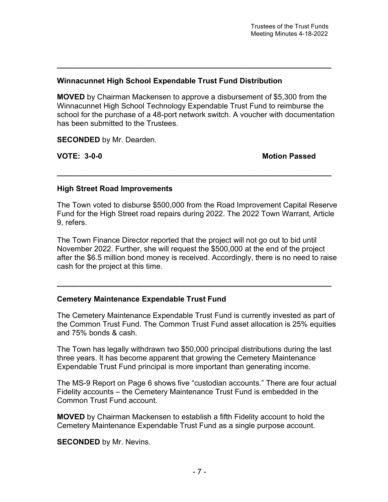#### Winnacunnet High School Expendable Trust Fund Distribution

MOVED by Chairman Mackensen to approve a disbursement of \$5,300 from the Winnacunnet High School Technology Expendable Trust Fund to reimburse the school for the purchase of a 48-port network switch. A voucher with documentation has been submitted to the Trustees.

\_\_\_\_\_\_\_\_\_\_\_\_\_\_\_\_\_\_\_\_\_\_\_\_\_\_\_\_\_\_\_\_\_\_\_\_\_\_\_\_\_\_\_\_\_\_\_\_\_\_\_\_\_\_\_\_\_\_\_\_\_\_\_\_\_

SECONDED by Mr. Dearden.

VOTE: 3-0-0 Motion Passed

#### High Street Road Improvements

The Town voted to disburse \$500,000 from the Road Improvement Capital Reserve Fund for the High Street road repairs during 2022. The 2022 Town Warrant, Article 9, refers.

 $\overline{\phantom{a}}$  , and the contribution of the contribution of the contribution of the contribution of the contribution of the contribution of the contribution of the contribution of the contribution of the contribution of the

The Town Finance Director reported that the project will not go out to bid until November 2022. Further, she will request the \$500,000 at the end of the project after the \$6.5 million bond money is received. Accordingly, there is no need to raise cash for the project at this time.

 $\overline{\phantom{a}}$  , and the contribution of the contribution of the contribution of the contribution of the contribution of the contribution of the contribution of the contribution of the contribution of the contribution of the

## Cemetery Maintenance Expendable Trust Fund

The Cemetery Maintenance Expendable Trust Fund is currently invested as part of the Common Trust Fund. The Common Trust Fund asset allocation is 25% equities and 75% bonds & cash.

The Town has legally withdrawn two \$50,000 principal distributions during the last three years. It has become apparent that growing the Cemetery Maintenance Expendable Trust Fund principal is more important than generating income.

The MS-9 Report on Page 6 shows five "custodian accounts." There are four actual Fidelity accounts – the Cemetery Maintenance Trust Fund is embedded in the Common Trust Fund account.

MOVED by Chairman Mackensen to establish a fifth Fidelity account to hold the Cemetery Maintenance Expendable Trust Fund as a single purpose account.

**SECONDED** by Mr. Nevins.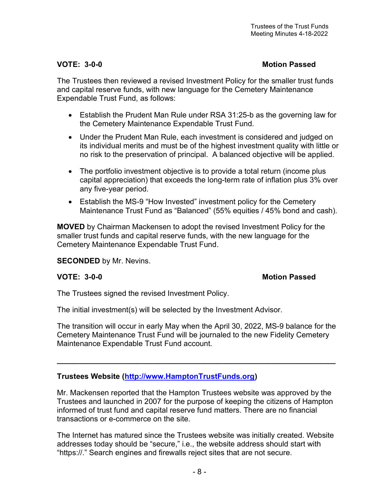## VOTE: 3-0-0 Motion Passed

The Trustees then reviewed a revised Investment Policy for the smaller trust funds and capital reserve funds, with new language for the Cemetery Maintenance Expendable Trust Fund, as follows:

- Establish the Prudent Man Rule under RSA 31:25-b as the governing law for the Cemetery Maintenance Expendable Trust Fund.
- Under the Prudent Man Rule, each investment is considered and judged on its individual merits and must be of the highest investment quality with little or no risk to the preservation of principal. A balanced objective will be applied.
- The portfolio investment objective is to provide a total return (income plus capital appreciation) that exceeds the long-term rate of inflation plus 3% over any five-year period.
- Establish the MS-9 "How Invested" investment policy for the Cemetery Maintenance Trust Fund as "Balanced" (55% equities / 45% bond and cash).

MOVED by Chairman Mackensen to adopt the revised Investment Policy for the smaller trust funds and capital reserve funds, with the new language for the Cemetery Maintenance Expendable Trust Fund.

SECONDED by Mr. Nevins.

## VOTE: 3-0-0 Motion Passed

The Trustees signed the revised Investment Policy.

The initial investment(s) will be selected by the Investment Advisor.

The transition will occur in early May when the April 30, 2022, MS-9 balance for the Cemetery Maintenance Trust Fund will be journaled to the new Fidelity Cemetery Maintenance Expendable Trust Fund account.

 $\overline{\phantom{a}}$  , and the contribution of the contribution of the contribution of the contribution of the contribution of the contribution of the contribution of the contribution of the contribution of the contribution of the

## Trustees Website (http://www.HamptonTrustFunds.org)

Mr. Mackensen reported that the Hampton Trustees website was approved by the Trustees and launched in 2007 for the purpose of keeping the citizens of Hampton informed of trust fund and capital reserve fund matters. There are no financial transactions or e-commerce on the site.

The Internet has matured since the Trustees website was initially created. Website addresses today should be "secure," i.e., the website address should start with "https://." Search engines and firewalls reject sites that are not secure.